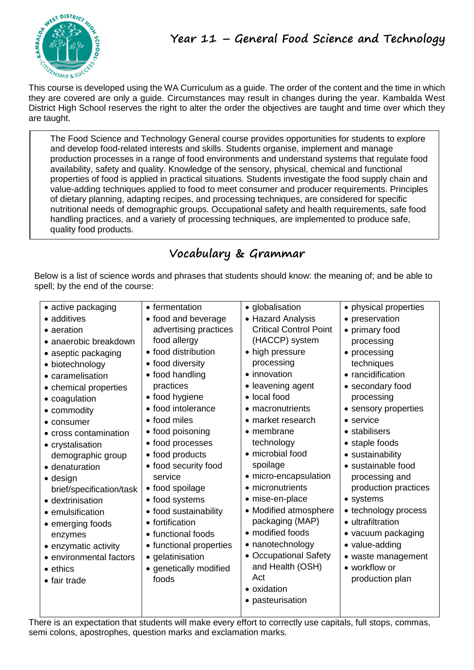

This course is developed using the WA Curriculum as a guide. The order of the content and the time in which they are covered are only a guide. Circumstances may result in changes during the year. Kambalda West District High School reserves the right to alter the order the objectives are taught and time over which they are taught.

The Food Science and Technology General course provides opportunities for students to explore and develop food-related interests and skills. Students organise, implement and manage production processes in a range of food environments and understand systems that regulate food availability, safety and quality. Knowledge of the sensory, physical, chemical and functional properties of food is applied in practical situations. Students investigate the food supply chain and value-adding techniques applied to food to meet consumer and producer requirements. Principles of dietary planning, adapting recipes, and processing techniques, are considered for specific nutritional needs of demographic groups. Occupational safety and health requirements, safe food handling practices, and a variety of processing techniques, are implemented to produce safe, quality food products.

# **Vocabulary & Grammar**

Below is a list of science words and phrases that students should know: the meaning of; and be able to spell; by the end of the course:

| • active packaging       | • fermentation          | • globalisation               | • physical properties |
|--------------------------|-------------------------|-------------------------------|-----------------------|
| • additives              | • food and beverage     | • Hazard Analysis             | • preservation        |
| • aeration               | advertising practices   | <b>Critical Control Point</b> | • primary food        |
| • anaerobic breakdown    | food allergy            | (HACCP) system                | processing            |
| • aseptic packaging      | • food distribution     | • high pressure               | • processing          |
| • biotechnology          | • food diversity        | processing                    | techniques            |
| • caramelisation         | • food handling         | • innovation                  | • rancidification     |
| • chemical properties    | practices               | • leavening agent             | • secondary food      |
| • coagulation            | • food hygiene          | • local food                  | processing            |
| • commodity              | • food intolerance      | • macronutrients              | • sensory properties  |
| • consumer               | • food miles            | • market research             | $\bullet$ service     |
| • cross contamination    | • food poisoning        | $\bullet$ membrane            | • stabilisers         |
| • crystalisation         | • food processes        | technology                    | • staple foods        |
| demographic group        | • food products         | • microbial food              | • sustainability      |
| • denaturation           | • food security food    | spoilage                      | • sustainable food    |
| $\bullet$ design         | service                 | • micro-encapsulation         | processing and        |
| brief/specification/task | • food spoilage         | • micronutrients              | production practices  |
| • dextrinisation         | • food systems          | • mise-en-place               | • systems             |
| • emulsification         | • food sustainability   | • Modified atmosphere         | • technology process  |
| • emerging foods         | • fortification         | packaging (MAP)               | • ultrafiltration     |
| enzymes                  | • functional foods      | • modified foods              | • vacuum packaging    |
| • enzymatic activity     | • functional properties | • nanotechnology              | • value-adding        |
| • environmental factors  | • gelatinisation        | • Occupational Safety         | • waste management    |
| • ethics                 | • genetically modified  | and Health (OSH)              | • workflow or         |
| • fair trade             | foods                   | Act                           | production plan       |
|                          |                         | • oxidation                   |                       |
|                          |                         | • pasteurisation              |                       |
|                          |                         |                               |                       |

There is an expectation that students will make every effort to correctly use capitals, full stops, commas, semi colons, apostrophes, question marks and exclamation marks.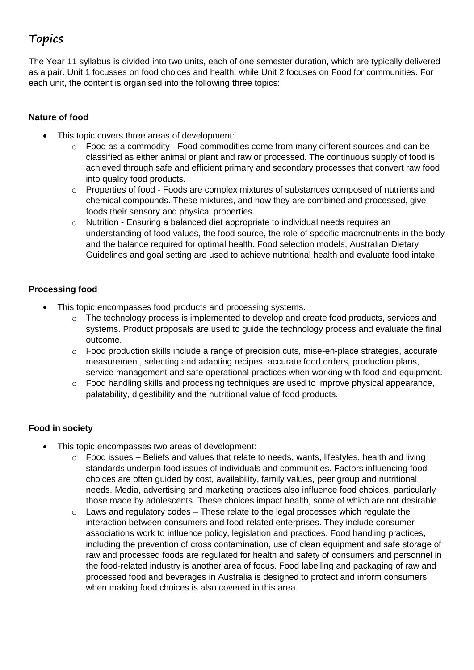# **Topics**

The Year 11 syllabus is divided into two units, each of one semester duration, which are typically delivered as a pair. Unit 1 focusses on food choices and health, while Unit 2 focuses on Food for communities. For each unit, the content is organised into the following three topics:

## **Nature of food**

- This topic covers three areas of development:
	- $\circ$  Food as a commodity Food commodities come from many different sources and can be classified as either animal or plant and raw or processed. The continuous supply of food is achieved through safe and efficient primary and secondary processes that convert raw food into quality food products.
	- $\circ$  Properties of food Foods are complex mixtures of substances composed of nutrients and chemical compounds. These mixtures, and how they are combined and processed, give foods their sensory and physical properties.
	- o Nutrition Ensuring a balanced diet appropriate to individual needs requires an understanding of food values, the food source, the role of specific macronutrients in the body and the balance required for optimal health. Food selection models, Australian Dietary Guidelines and goal setting are used to achieve nutritional health and evaluate food intake.

## **Processing food**

- This topic encompasses food products and processing systems.
	- o The technology process is implemented to develop and create food products, services and systems. Product proposals are used to guide the technology process and evaluate the final outcome.
	- o Food production skills include a range of precision cuts, mise-en-place strategies, accurate measurement, selecting and adapting recipes, accurate food orders, production plans, service management and safe operational practices when working with food and equipment.
	- o Food handling skills and processing techniques are used to improve physical appearance, palatability, digestibility and the nutritional value of food products.

## **Food in society**

- This topic encompasses two areas of development:
	- $\circ$  Food issues Beliefs and values that relate to needs, wants, lifestyles, health and living standards underpin food issues of individuals and communities. Factors influencing food choices are often guided by cost, availability, family values, peer group and nutritional needs. Media, advertising and marketing practices also influence food choices, particularly those made by adolescents. These choices impact health, some of which are not desirable.
	- $\circ$  Laws and regulatory codes These relate to the legal processes which regulate the interaction between consumers and food-related enterprises. They include consumer associations work to influence policy, legislation and practices. Food handling practices, including the prevention of cross contamination, use of clean equipment and safe storage of raw and processed foods are regulated for health and safety of consumers and personnel in the food-related industry is another area of focus. Food labelling and packaging of raw and processed food and beverages in Australia is designed to protect and inform consumers when making food choices is also covered in this area.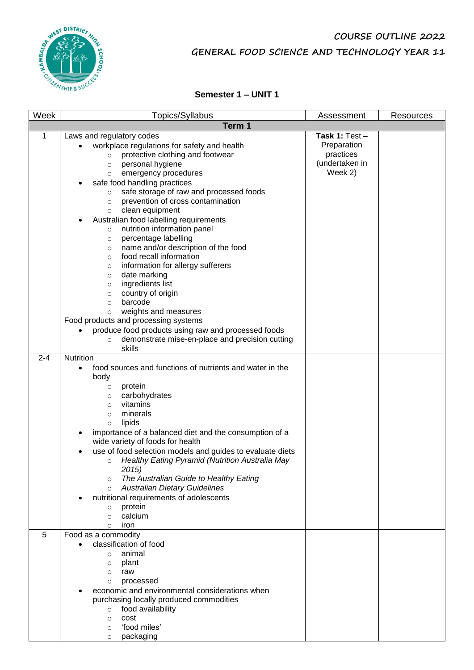

# **COURSE OUTLINE 2022 GENERAL FOOD SCIENCE AND TECHNOLOGY YEAR 11**

### **Semester 1 – UNIT 1**

| Week    | Topics/Syllabus                                                                                              | Assessment     | Resources |  |  |
|---------|--------------------------------------------------------------------------------------------------------------|----------------|-----------|--|--|
|         | Term 1                                                                                                       |                |           |  |  |
| 1       | Laws and regulatory codes                                                                                    | Task 1: Test-  |           |  |  |
|         | workplace regulations for safety and health                                                                  | Preparation    |           |  |  |
|         | protective clothing and footwear<br>$\circ$                                                                  | practices      |           |  |  |
|         | personal hygiene<br>$\circ$                                                                                  | (undertaken in |           |  |  |
|         | emergency procedures<br>$\circ$                                                                              | Week 2)        |           |  |  |
|         | safe food handling practices                                                                                 |                |           |  |  |
|         | safe storage of raw and processed foods<br>$\circ$                                                           |                |           |  |  |
|         | prevention of cross contamination<br>$\circ$                                                                 |                |           |  |  |
|         | clean equipment<br>$\circ$                                                                                   |                |           |  |  |
|         | Australian food labelling requirements                                                                       |                |           |  |  |
|         | nutrition information panel<br>$\circ$                                                                       |                |           |  |  |
|         | percentage labelling<br>$\circ$                                                                              |                |           |  |  |
|         | name and/or description of the food<br>$\circ$                                                               |                |           |  |  |
|         | food recall information<br>$\circ$                                                                           |                |           |  |  |
|         | information for allergy sufferers<br>$\circ$                                                                 |                |           |  |  |
|         | date marking<br>$\circ$                                                                                      |                |           |  |  |
|         | ingredients list<br>$\circ$                                                                                  |                |           |  |  |
|         | country of origin<br>$\circ$                                                                                 |                |           |  |  |
|         | barcode<br>$\circ$                                                                                           |                |           |  |  |
|         | weights and measures<br>$\circ$                                                                              |                |           |  |  |
|         | Food products and processing systems                                                                         |                |           |  |  |
|         | produce food products using raw and processed foods                                                          |                |           |  |  |
|         | demonstrate mise-en-place and precision cutting<br>$\circ$                                                   |                |           |  |  |
|         | skills                                                                                                       |                |           |  |  |
| $2 - 4$ | Nutrition                                                                                                    |                |           |  |  |
|         | food sources and functions of nutrients and water in the                                                     |                |           |  |  |
|         | body                                                                                                         |                |           |  |  |
|         | protein<br>$\circ$                                                                                           |                |           |  |  |
|         | carbohydrates<br>$\circ$                                                                                     |                |           |  |  |
|         | vitamins<br>$\circ$                                                                                          |                |           |  |  |
|         | minerals<br>$\circ$                                                                                          |                |           |  |  |
|         | lipids<br>$\circ$                                                                                            |                |           |  |  |
|         | importance of a balanced diet and the consumption of a                                                       |                |           |  |  |
|         | wide variety of foods for health                                                                             |                |           |  |  |
|         | use of food selection models and guides to evaluate diets<br>Healthy Eating Pyramid (Nutrition Australia May |                |           |  |  |
|         | $\circ$                                                                                                      |                |           |  |  |
|         | 2015)<br>The Australian Guide to Healthy Eating                                                              |                |           |  |  |
|         | $\circ$<br><b>Australian Dietary Guidelines</b><br>$\circ$                                                   |                |           |  |  |
|         | nutritional requirements of adolescents                                                                      |                |           |  |  |
|         | protein<br>$\circ$                                                                                           |                |           |  |  |
|         | calcium<br>$\Omega$                                                                                          |                |           |  |  |
|         | iron<br>$\circ$                                                                                              |                |           |  |  |
| 5       | Food as a commodity                                                                                          |                |           |  |  |
|         | classification of food                                                                                       |                |           |  |  |
|         | animal<br>$\circ$                                                                                            |                |           |  |  |
|         | plant<br>$\circ$                                                                                             |                |           |  |  |
|         | raw<br>$\circ$                                                                                               |                |           |  |  |
|         | processed<br>$\circ$                                                                                         |                |           |  |  |
|         | economic and environmental considerations when                                                               |                |           |  |  |
|         | purchasing locally produced commodities                                                                      |                |           |  |  |
|         | food availability<br>$\circ$                                                                                 |                |           |  |  |
|         | cost<br>$\circ$                                                                                              |                |           |  |  |
|         | 'food miles'<br>$\circ$                                                                                      |                |           |  |  |
|         | packaging<br>$\circ$                                                                                         |                |           |  |  |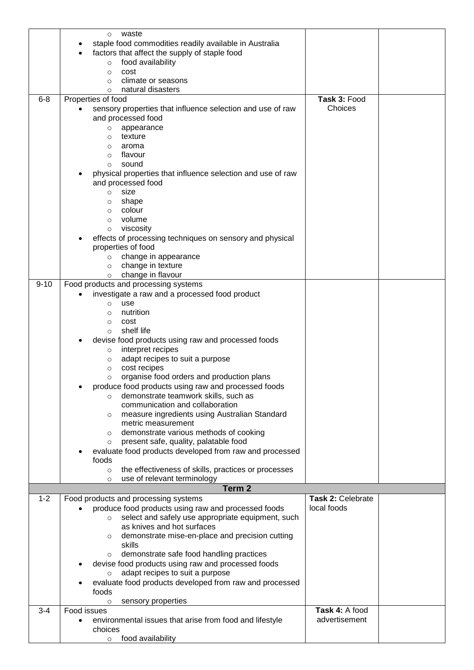|          | waste<br>$\circ$                                                                            |                                  |  |
|----------|---------------------------------------------------------------------------------------------|----------------------------------|--|
|          | staple food commodities readily available in Australia                                      |                                  |  |
|          | factors that affect the supply of staple food                                               |                                  |  |
|          | food availability<br>$\circ$                                                                |                                  |  |
|          | cost<br>$\circ$                                                                             |                                  |  |
|          | climate or seasons<br>O                                                                     |                                  |  |
|          | natural disasters<br>O                                                                      |                                  |  |
| $6 - 8$  | Properties of food                                                                          | Task 3: Food                     |  |
|          | sensory properties that influence selection and use of raw                                  | Choices                          |  |
|          | and processed food                                                                          |                                  |  |
|          | appearance<br>O                                                                             |                                  |  |
|          | texture<br>O                                                                                |                                  |  |
|          | aroma<br>O                                                                                  |                                  |  |
|          | flavour<br>$\circ$                                                                          |                                  |  |
|          | sound<br>$\circ$                                                                            |                                  |  |
|          | physical properties that influence selection and use of raw                                 |                                  |  |
|          | and processed food                                                                          |                                  |  |
|          | size<br>$\circ$                                                                             |                                  |  |
|          | shape<br>$\circ$<br>colour                                                                  |                                  |  |
|          | $\circ$<br>volume<br>$\circ$                                                                |                                  |  |
|          | viscosity<br>$\circ$                                                                        |                                  |  |
|          | effects of processing techniques on sensory and physical                                    |                                  |  |
|          | properties of food                                                                          |                                  |  |
|          | change in appearance<br>$\circ$                                                             |                                  |  |
|          | change in texture<br>$\circ$                                                                |                                  |  |
|          | change in flavour<br>$\circ$                                                                |                                  |  |
| $9 - 10$ | Food products and processing systems                                                        |                                  |  |
|          | investigate a raw and a processed food product                                              |                                  |  |
|          | use<br>$\circ$                                                                              |                                  |  |
|          | nutrition<br>O                                                                              |                                  |  |
|          | cost<br>$\circ$                                                                             |                                  |  |
|          | shelf life<br>O                                                                             |                                  |  |
|          | devise food products using raw and processed foods                                          |                                  |  |
|          | interpret recipes<br>$\circ$                                                                |                                  |  |
|          | adapt recipes to suit a purpose<br>$\circ$<br>cost recipes                                  |                                  |  |
|          | $\circ$<br>organise food orders and production plans<br>$\circ$                             |                                  |  |
|          | produce food products using raw and processed foods                                         |                                  |  |
|          | demonstrate teamwork skills, such as<br>$\circ$                                             |                                  |  |
|          | communication and collaboration                                                             |                                  |  |
|          | measure ingredients using Australian Standard<br>O                                          |                                  |  |
|          | metric measurement                                                                          |                                  |  |
|          | demonstrate various methods of cooking<br>$\circ$                                           |                                  |  |
|          | present safe, quality, palatable food<br>$\circ$                                            |                                  |  |
|          | evaluate food products developed from raw and processed                                     |                                  |  |
|          | foods                                                                                       |                                  |  |
|          | the effectiveness of skills, practices or processes<br>$\circ$                              |                                  |  |
|          | use of relevant terminology<br>$\circ$                                                      |                                  |  |
|          | Term <sub>2</sub>                                                                           |                                  |  |
| $1 - 2$  | Food products and processing systems<br>produce food products using raw and processed foods | Task 2: Celebrate<br>local foods |  |
|          | select and safely use appropriate equipment, such<br>$\circ$                                |                                  |  |
|          | as knives and hot surfaces                                                                  |                                  |  |
|          | demonstrate mise-en-place and precision cutting<br>$\circ$                                  |                                  |  |
|          | skills                                                                                      |                                  |  |
|          | demonstrate safe food handling practices<br>$\circ$                                         |                                  |  |
|          | devise food products using raw and processed foods                                          |                                  |  |
|          | adapt recipes to suit a purpose                                                             |                                  |  |
|          | evaluate food products developed from raw and processed                                     |                                  |  |
|          | foods                                                                                       |                                  |  |
|          | sensory properties<br>$\circ$                                                               |                                  |  |
| $3 - 4$  | Food issues                                                                                 | Task 4: A food                   |  |
|          |                                                                                             |                                  |  |
|          | environmental issues that arise from food and lifestyle                                     | advertisement                    |  |
|          | choices<br>food availability                                                                |                                  |  |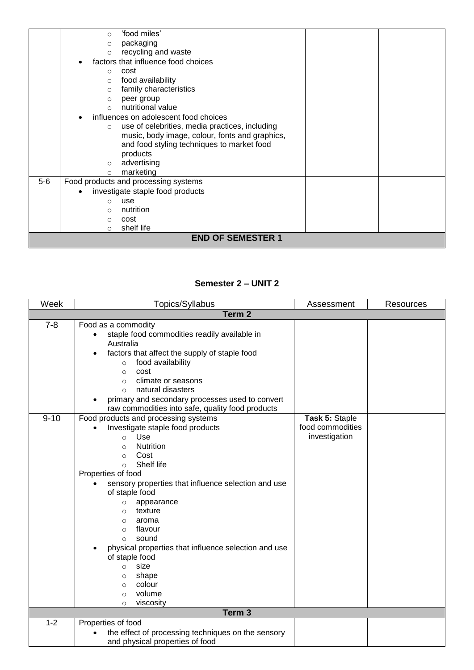| packaging<br>$\circ$<br>recycling and waste<br>$\circ$<br>factors that influence food choices<br>cost<br>$\Omega$<br>food availability<br>$\Omega$<br>family characteristics<br>$\Omega$<br>peer group<br>$\circ$<br>nutritional value<br>$\Omega$<br>influences on adolescent food choices<br>use of celebrities, media practices, including<br>$\circ$<br>music, body image, colour, fonts and graphics,<br>and food styling techniques to market food<br>products<br>advertising<br>$\circ$<br>marketing<br>$\circ$<br>$5-6$<br>Food products and processing systems<br>investigate staple food products<br>use<br>$\circ$<br>nutrition<br>$\Omega$<br>cost<br>$\circ$ | $\circ$  | 'food miles' |  |  |
|---------------------------------------------------------------------------------------------------------------------------------------------------------------------------------------------------------------------------------------------------------------------------------------------------------------------------------------------------------------------------------------------------------------------------------------------------------------------------------------------------------------------------------------------------------------------------------------------------------------------------------------------------------------------------|----------|--------------|--|--|
|                                                                                                                                                                                                                                                                                                                                                                                                                                                                                                                                                                                                                                                                           |          |              |  |  |
|                                                                                                                                                                                                                                                                                                                                                                                                                                                                                                                                                                                                                                                                           |          |              |  |  |
|                                                                                                                                                                                                                                                                                                                                                                                                                                                                                                                                                                                                                                                                           |          |              |  |  |
|                                                                                                                                                                                                                                                                                                                                                                                                                                                                                                                                                                                                                                                                           |          |              |  |  |
|                                                                                                                                                                                                                                                                                                                                                                                                                                                                                                                                                                                                                                                                           |          |              |  |  |
|                                                                                                                                                                                                                                                                                                                                                                                                                                                                                                                                                                                                                                                                           |          |              |  |  |
|                                                                                                                                                                                                                                                                                                                                                                                                                                                                                                                                                                                                                                                                           |          |              |  |  |
|                                                                                                                                                                                                                                                                                                                                                                                                                                                                                                                                                                                                                                                                           |          |              |  |  |
|                                                                                                                                                                                                                                                                                                                                                                                                                                                                                                                                                                                                                                                                           |          |              |  |  |
|                                                                                                                                                                                                                                                                                                                                                                                                                                                                                                                                                                                                                                                                           |          |              |  |  |
|                                                                                                                                                                                                                                                                                                                                                                                                                                                                                                                                                                                                                                                                           |          |              |  |  |
|                                                                                                                                                                                                                                                                                                                                                                                                                                                                                                                                                                                                                                                                           |          |              |  |  |
|                                                                                                                                                                                                                                                                                                                                                                                                                                                                                                                                                                                                                                                                           |          |              |  |  |
|                                                                                                                                                                                                                                                                                                                                                                                                                                                                                                                                                                                                                                                                           |          |              |  |  |
|                                                                                                                                                                                                                                                                                                                                                                                                                                                                                                                                                                                                                                                                           |          |              |  |  |
|                                                                                                                                                                                                                                                                                                                                                                                                                                                                                                                                                                                                                                                                           |          |              |  |  |
|                                                                                                                                                                                                                                                                                                                                                                                                                                                                                                                                                                                                                                                                           |          |              |  |  |
|                                                                                                                                                                                                                                                                                                                                                                                                                                                                                                                                                                                                                                                                           |          |              |  |  |
|                                                                                                                                                                                                                                                                                                                                                                                                                                                                                                                                                                                                                                                                           |          |              |  |  |
|                                                                                                                                                                                                                                                                                                                                                                                                                                                                                                                                                                                                                                                                           |          |              |  |  |
|                                                                                                                                                                                                                                                                                                                                                                                                                                                                                                                                                                                                                                                                           | $\Omega$ | shelf life   |  |  |
| <b>END OF SEMESTER 1</b>                                                                                                                                                                                                                                                                                                                                                                                                                                                                                                                                                                                                                                                  |          |              |  |  |

#### **Semester 2 – UNIT 2**

| Week     | Topics/Syllabus<br>Assessment<br>Resources                             |                  |  |  |  |
|----------|------------------------------------------------------------------------|------------------|--|--|--|
|          | Term <sub>2</sub>                                                      |                  |  |  |  |
| $7 - 8$  | Food as a commodity                                                    |                  |  |  |  |
|          | staple food commodities readily available in                           |                  |  |  |  |
|          | Australia                                                              |                  |  |  |  |
|          | factors that affect the supply of staple food                          |                  |  |  |  |
|          | food availability<br>$\circ$                                           |                  |  |  |  |
|          | cost<br>$\circ$                                                        |                  |  |  |  |
|          | climate or seasons<br>$\circ$                                          |                  |  |  |  |
|          | natural disasters<br>$\Omega$                                          |                  |  |  |  |
|          | primary and secondary processes used to convert                        |                  |  |  |  |
|          | raw commodities into safe, quality food products                       |                  |  |  |  |
| $9 - 10$ | Food products and processing systems                                   | Task 5: Staple   |  |  |  |
|          | Investigate staple food products                                       | food commodities |  |  |  |
|          | Use<br>$\circ$                                                         | investigation    |  |  |  |
|          | <b>Nutrition</b><br>$\circ$                                            |                  |  |  |  |
|          | Cost<br>$\circ$                                                        |                  |  |  |  |
|          | Shelf life<br>$\circ$                                                  |                  |  |  |  |
|          | Properties of food                                                     |                  |  |  |  |
|          | sensory properties that influence selection and use                    |                  |  |  |  |
|          | of staple food                                                         |                  |  |  |  |
|          | appearance<br>$\circ$                                                  |                  |  |  |  |
|          | texture<br>$\circ$                                                     |                  |  |  |  |
|          | aroma<br>$\circ$                                                       |                  |  |  |  |
|          | flavour<br>$\circ$                                                     |                  |  |  |  |
|          | sound<br>$\circ$                                                       |                  |  |  |  |
|          | physical properties that influence selection and use<br>of staple food |                  |  |  |  |
|          | size<br>$\Omega$                                                       |                  |  |  |  |
|          | shape<br>$\circ$                                                       |                  |  |  |  |
|          | colour<br>$\circ$                                                      |                  |  |  |  |
|          | volume<br>$\circ$                                                      |                  |  |  |  |
|          | viscosity<br>$\circ$                                                   |                  |  |  |  |
|          | Term <sub>3</sub>                                                      |                  |  |  |  |
| $1 - 2$  | Properties of food                                                     |                  |  |  |  |
|          | the effect of processing techniques on the sensory                     |                  |  |  |  |
|          | and physical properties of food                                        |                  |  |  |  |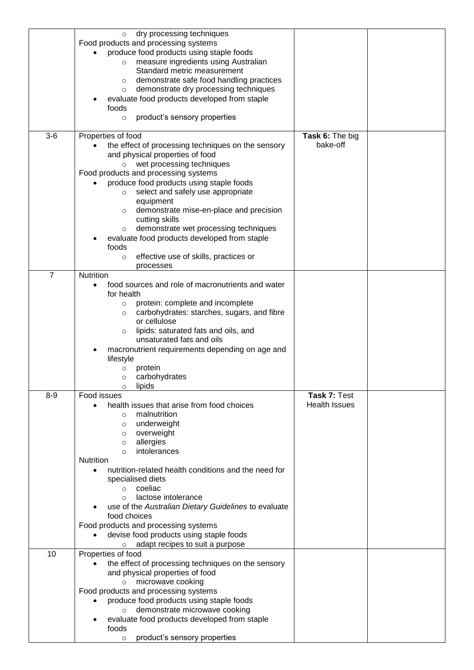|                | dry processing techniques<br>$\circ$                              |                      |  |
|----------------|-------------------------------------------------------------------|----------------------|--|
|                | Food products and processing systems                              |                      |  |
|                | produce food products using staple foods                          |                      |  |
|                | measure ingredients using Australian                              |                      |  |
|                | Standard metric measurement                                       |                      |  |
|                | demonstrate safe food handling practices                          |                      |  |
|                | $\circ$                                                           |                      |  |
|                | demonstrate dry processing techniques<br>O                        |                      |  |
|                | evaluate food products developed from staple                      |                      |  |
|                | foods                                                             |                      |  |
|                | product's sensory properties<br>$\circ$                           |                      |  |
|                |                                                                   |                      |  |
| $3-6$          | Properties of food                                                | Task 6: The big      |  |
|                | the effect of processing techniques on the sensory                | bake-off             |  |
|                | and physical properties of food                                   |                      |  |
|                | wet processing techniques<br>$\circ$                              |                      |  |
|                | Food products and processing systems                              |                      |  |
|                |                                                                   |                      |  |
|                | produce food products using staple foods                          |                      |  |
|                | select and safely use appropriate<br>$\circ$                      |                      |  |
|                | equipment                                                         |                      |  |
|                | demonstrate mise-en-place and precision<br>$\circ$                |                      |  |
|                | cutting skills                                                    |                      |  |
|                | demonstrate wet processing techniques<br>$\circ$                  |                      |  |
|                | evaluate food products developed from staple                      |                      |  |
|                | foods                                                             |                      |  |
|                | effective use of skills, practices or<br>$\circ$                  |                      |  |
|                |                                                                   |                      |  |
| $\overline{7}$ | processes<br>Nutrition                                            |                      |  |
|                |                                                                   |                      |  |
|                | food sources and role of macronutrients and water                 |                      |  |
|                | for health                                                        |                      |  |
|                | protein: complete and incomplete<br>$\circ$                       |                      |  |
|                | carbohydrates: starches, sugars, and fibre<br>$\circ$             |                      |  |
|                | or cellulose                                                      |                      |  |
|                | lipids: saturated fats and oils, and<br>$\circ$                   |                      |  |
|                | unsaturated fats and oils                                         |                      |  |
|                | macronutrient requirements depending on age and                   |                      |  |
|                |                                                                   |                      |  |
|                | lifestyle                                                         |                      |  |
|                | protein<br>$\circ$                                                |                      |  |
|                | carbohydrates<br>O                                                |                      |  |
|                |                                                                   |                      |  |
|                | lipids<br>O                                                       |                      |  |
| $8 - 9$        | Food issues                                                       | Task 7: Test         |  |
|                | health issues that arise from food choices                        | <b>Health Issues</b> |  |
|                | malnutrition<br>$\circ$                                           |                      |  |
|                | $\circ$                                                           |                      |  |
|                | underweight<br>$\circ$                                            |                      |  |
|                | overweight                                                        |                      |  |
|                | allergies<br>$\circ$                                              |                      |  |
|                | intolerances<br>$\circ$                                           |                      |  |
|                | <b>Nutrition</b>                                                  |                      |  |
|                | nutrition-related health conditions and the need for<br>$\bullet$ |                      |  |
|                | specialised diets                                                 |                      |  |
|                | coeliac<br>$\circ$                                                |                      |  |
|                | lactose intolerance<br>$\Omega$                                   |                      |  |
|                | use of the Australian Dietary Guidelines to evaluate              |                      |  |
|                | food choices                                                      |                      |  |
|                | Food products and processing systems                              |                      |  |
|                |                                                                   |                      |  |
|                | devise food products using staple foods                           |                      |  |
|                | adapt recipes to suit a purpose<br>$\circ$                        |                      |  |
| 10             | Properties of food                                                |                      |  |
|                | the effect of processing techniques on the sensory                |                      |  |
|                | and physical properties of food                                   |                      |  |
|                | microwave cooking<br>$\circ$                                      |                      |  |
|                | Food products and processing systems                              |                      |  |
|                | produce food products using staple foods                          |                      |  |
|                | demonstrate microwave cooking                                     |                      |  |
|                | evaluate food products developed from staple                      |                      |  |
|                | foods                                                             |                      |  |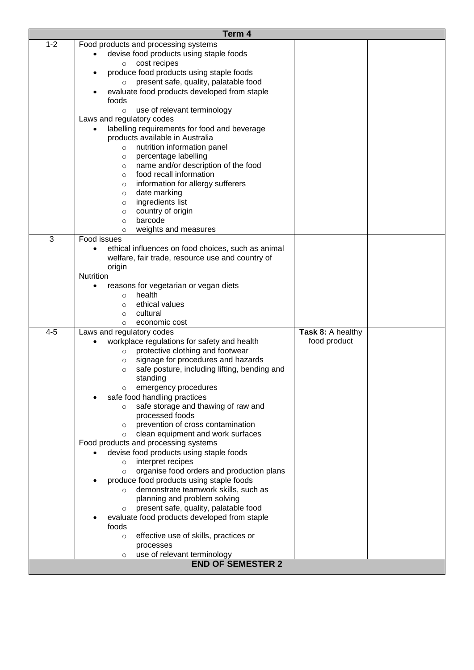|         | Term 4                                                  |                   |  |
|---------|---------------------------------------------------------|-------------------|--|
| $1 - 2$ | Food products and processing systems                    |                   |  |
|         | devise food products using staple foods                 |                   |  |
|         | cost recipes<br>$\circ$                                 |                   |  |
|         | produce food products using staple foods                |                   |  |
|         | present safe, quality, palatable food                   |                   |  |
|         | evaluate food products developed from staple            |                   |  |
|         | foods                                                   |                   |  |
|         | use of relevant terminology<br>$\circ$                  |                   |  |
|         | Laws and regulatory codes                               |                   |  |
|         | labelling requirements for food and beverage            |                   |  |
|         | products available in Australia                         |                   |  |
|         | nutrition information panel<br>$\circ$                  |                   |  |
|         | percentage labelling<br>$\circ$                         |                   |  |
|         | name and/or description of the food<br>$\circ$          |                   |  |
|         | food recall information<br>$\circ$                      |                   |  |
|         | information for allergy sufferers                       |                   |  |
|         | $\circ$<br>date marking                                 |                   |  |
|         | $\circ$<br>ingredients list                             |                   |  |
|         | $\circ$<br>country of origin                            |                   |  |
|         | $\circ$<br>barcode<br>$\circ$                           |                   |  |
|         | weights and measures<br>$\circ$                         |                   |  |
| 3       | Food issues                                             |                   |  |
|         | ethical influences on food choices, such as animal      |                   |  |
|         | welfare, fair trade, resource use and country of        |                   |  |
|         | origin                                                  |                   |  |
|         | Nutrition                                               |                   |  |
|         | reasons for vegetarian or vegan diets<br>٠              |                   |  |
|         | health<br>$\circ$                                       |                   |  |
|         | ethical values<br>$\circ$                               |                   |  |
|         | cultural<br>$\circ$                                     |                   |  |
|         | economic cost<br>$\circ$                                |                   |  |
| $4 - 5$ | Laws and regulatory codes                               | Task 8: A healthy |  |
|         | workplace regulations for safety and health             | food product      |  |
|         | protective clothing and footwear<br>$\circ$             |                   |  |
|         | signage for procedures and hazards<br>$\circ$           |                   |  |
|         | safe posture, including lifting, bending and<br>$\circ$ |                   |  |
|         | standing                                                |                   |  |
|         | emergency procedures                                    |                   |  |
|         | safe food handling practices                            |                   |  |
|         | safe storage and thawing of raw and<br>$\circ$          |                   |  |
|         | processed foods                                         |                   |  |
|         | prevention of cross contamination<br>$\circ$            |                   |  |
|         | clean equipment and work surfaces<br>$\circ$            |                   |  |
|         | Food products and processing systems                    |                   |  |
|         | devise food products using staple foods                 |                   |  |
|         | interpret recipes<br>$\circ$                            |                   |  |
|         | organise food orders and production plans<br>$\circ$    |                   |  |
|         | produce food products using staple foods                |                   |  |
|         | demonstrate teamwork skills, such as<br>$\circ$         |                   |  |
|         | planning and problem solving                            |                   |  |
|         | present safe, quality, palatable food<br>O              |                   |  |
|         | evaluate food products developed from staple            |                   |  |
|         | foods                                                   |                   |  |
|         | effective use of skills, practices or<br>$\circ$        |                   |  |
|         | processes                                               |                   |  |
|         | use of relevant terminology<br>$\circ$                  |                   |  |
|         | <b>END OF SEMESTER 2</b>                                |                   |  |